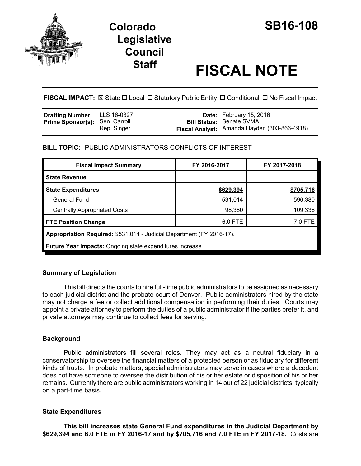

## **Colorado SB16-108 Legislative Council**

# **Staff FISCAL NOTE**

**FISCAL IMPACT:**  $\boxtimes$  State  $\Box$  Local  $\Box$  Statutory Public Entity  $\Box$  Conditional  $\Box$  No Fiscal Impact

| <b>Drafting Number:</b> LLS 16-0327   |             | <b>Date:</b> February 15, 2016               |
|---------------------------------------|-------------|----------------------------------------------|
| <b>Prime Sponsor(s): Sen. Carroll</b> |             | <b>Bill Status: Senate SVMA</b>              |
|                                       | Rep. Singer | Fiscal Analyst: Amanda Hayden (303-866-4918) |

**BILL TOPIC:** PUBLIC ADMINISTRATORS CONFLICTS OF INTEREST

| <b>Fiscal Impact Summary</b>                                          | FY 2016-2017 | FY 2017-2018 |  |  |  |
|-----------------------------------------------------------------------|--------------|--------------|--|--|--|
| <b>State Revenue</b>                                                  |              |              |  |  |  |
| <b>State Expenditures</b>                                             | \$629,394    | \$705,716    |  |  |  |
| General Fund                                                          | 531,014      | 596,380      |  |  |  |
| <b>Centrally Appropriated Costs</b>                                   | 98,380       | 109,336      |  |  |  |
| <b>FTE Position Change</b>                                            | 6.0 FTE      | 7.0 FTE      |  |  |  |
| Appropriation Required: \$531,014 - Judicial Department (FY 2016-17). |              |              |  |  |  |
| <b>Future Year Impacts:</b> Ongoing state expenditures increase.      |              |              |  |  |  |

#### **Summary of Legislation**

This bill directs the courts to hire full-time public administrators to be assigned as necessary to each judicial district and the probate court of Denver. Public administrators hired by the state may not charge a fee or collect additional compensation in performing their duties. Courts may appoint a private attorney to perform the duties of a public administrator if the parties prefer it, and private attorneys may continue to collect fees for serving.

### **Background**

Public administrators fill several roles. They may act as a neutral fiduciary in a conservatorship to oversee the financial matters of a protected person or as fiduciary for different kinds of trusts. In probate matters, special administrators may serve in cases where a decedent does not have someone to oversee the distribution of his or her estate or disposition of his or her remains. Currently there are public administrators working in 14 out of 22 judicial districts, typically on a part-time basis.

#### **State Expenditures**

**This bill increases state General Fund expenditures in the Judicial Department by \$629,394 and 6.0 FTE in FY 2016-17 and by \$705,716 and 7.0 FTE in FY 2017-18.** Costs are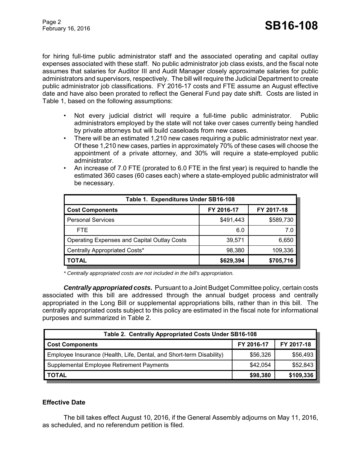for hiring full-time public administrator staff and the associated operating and capital outlay expenses associated with these staff. No public administrator job class exists, and the fiscal note assumes that salaries for Auditor III and Audit Manager closely approximate salaries for public administrators and supervisors, respectively. The bill will require the Judicial Department to create public administrator job classifications. FY 2016-17 costs and FTE assume an August effective date and have also been prorated to reflect the General Fund pay date shift. Costs are listed in Table 1, based on the following assumptions:

- Not every judicial district will require a full-time public administrator. Public administrators employed by the state will not take over cases currently being handled by private attorneys but will build caseloads from new cases.
- There will be an estimated 1,210 new cases requiring a public administrator next year. Of these 1,210 new cases, parties in approximately 70% of these cases will choose the appointment of a private attorney, and 30% will require a state-employed public administrator.
- An increase of 7.0 FTE (prorated to 6.0 FTE in the first year) is required to handle the estimated 360 cases (60 cases each) where a state-employed public administrator will be necessary.

| Table 1. Expenditures Under SB16-108               |            |            |  |  |  |
|----------------------------------------------------|------------|------------|--|--|--|
| <b>Cost Components</b>                             | FY 2016-17 | FY 2017-18 |  |  |  |
| <b>Personal Services</b>                           | \$491,443  | \$589,730  |  |  |  |
| FTE.                                               | 6.0        | 7.0        |  |  |  |
| <b>Operating Expenses and Capital Outlay Costs</b> | 39,571     | 6,650      |  |  |  |
| Centrally Appropriated Costs*                      | 98,380     | 109,336    |  |  |  |
| <b>TOTAL</b>                                       | \$629,394  | \$705,716  |  |  |  |

*\* Centrally appropriated costs are not included in the bill's appropriation.*

*Centrally appropriated costs.* Pursuant to a Joint Budget Committee policy, certain costs associated with this bill are addressed through the annual budget process and centrally appropriated in the Long Bill or supplemental appropriations bills, rather than in this bill. The centrally appropriated costs subject to this policy are estimated in the fiscal note for informational purposes and summarized in Table 2.

| Table 2. Centrally Appropriated Costs Under SB16-108                 |            |            |  |  |
|----------------------------------------------------------------------|------------|------------|--|--|
| <b>Cost Components</b>                                               | FY 2016-17 | FY 2017-18 |  |  |
| Employee Insurance (Health, Life, Dental, and Short-term Disability) | \$56,326   | \$56,493   |  |  |
| Supplemental Employee Retirement Payments                            | \$42.054   | \$52,843   |  |  |
| <b>TOTAL</b>                                                         | \$98,380   | \$109,336  |  |  |

#### **Effective Date**

The bill takes effect August 10, 2016, if the General Assembly adjourns on May 11, 2016, as scheduled, and no referendum petition is filed.